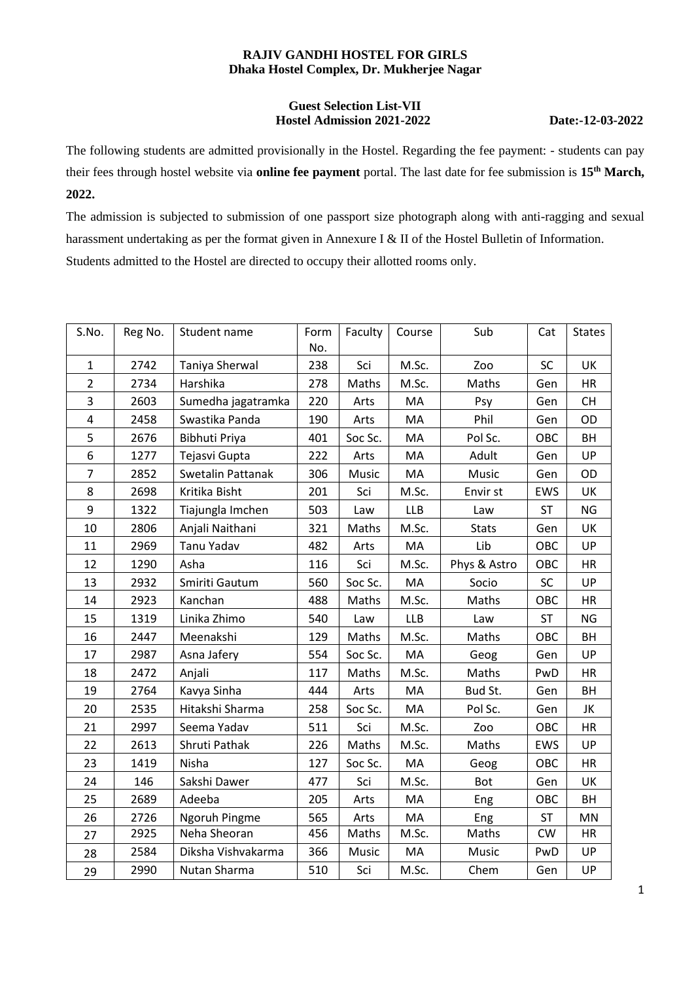## **RAJIV GANDHI HOSTEL FOR GIRLS Dhaka Hostel Complex, Dr. Mukherjee Nagar**

## **Guest Selection List-VII Hostel Admission 2021-2022 Date:-12-03-2022**

The following students are admitted provisionally in the Hostel. Regarding the fee payment: - students can pay their fees through hostel website via **online fee payment** portal. The last date for fee submission is **15 th March, 2022.**

The admission is subjected to submission of one passport size photograph along with anti-ragging and sexual harassment undertaking as per the format given in Annexure I & II of the Hostel Bulletin of Information. Students admitted to the Hostel are directed to occupy their allotted rooms only.

| S.No.          | Reg No. | Student name       | Form | Faculty | Course     | Sub          | Cat        | <b>States</b> |
|----------------|---------|--------------------|------|---------|------------|--------------|------------|---------------|
|                |         |                    | No.  |         |            |              |            |               |
| $\mathbf{1}$   | 2742    | Taniya Sherwal     | 238  | Sci     | M.Sc.      | Zoo          | SC         | UK            |
| $\overline{2}$ | 2734    | Harshika           | 278  | Maths   | M.Sc.      | Maths        | Gen        | <b>HR</b>     |
| 3              | 2603    | Sumedha jagatramka | 220  | Arts    | MA         | Psy          | Gen        | CH            |
| 4              | 2458    | Swastika Panda     | 190  | Arts    | MA         | Phil         | Gen        | OD            |
| 5              | 2676    | Bibhuti Priya      | 401  | Soc Sc. | MA         | Pol Sc.      | OBC        | BH            |
| 6              | 1277    | Tejasvi Gupta      | 222  | Arts    | MA         | Adult        | Gen        | UP            |
| $\overline{7}$ | 2852    | Swetalin Pattanak  | 306  | Music   | MA         | Music        | Gen        | OD            |
| 8              | 2698    | Kritika Bisht      | 201  | Sci     | M.Sc.      | Envir st     | <b>EWS</b> | UK            |
| 9              | 1322    | Tiajungla Imchen   | 503  | Law     | <b>LLB</b> | Law          | ST         | <b>NG</b>     |
| 10             | 2806    | Anjali Naithani    | 321  | Maths   | M.Sc.      | <b>Stats</b> | Gen        | UK            |
| 11             | 2969    | Tanu Yadav         | 482  | Arts    | MA         | Lib          | OBC        | UP            |
| 12             | 1290    | Asha               | 116  | Sci     | M.Sc.      | Phys & Astro | OBC        | <b>HR</b>     |
| 13             | 2932    | Smiriti Gautum     | 560  | Soc Sc. | MA         | Socio        | SC         | UP            |
| 14             | 2923    | Kanchan            | 488  | Maths   | M.Sc.      | Maths        | OBC        | HR            |
| 15             | 1319    | Linika Zhimo       | 540  | Law     | <b>LLB</b> | Law          | ST         | <b>NG</b>     |
| 16             | 2447    | Meenakshi          | 129  | Maths   | M.Sc.      | Maths        | OBC        | BH            |
| 17             | 2987    | Asna Jafery        | 554  | Soc Sc. | MA         | Geog         | Gen        | <b>UP</b>     |
| 18             | 2472    | Anjali             | 117  | Maths   | M.Sc.      | Maths        | PwD        | <b>HR</b>     |
| 19             | 2764    | Kavya Sinha        | 444  | Arts    | MA         | Bud St.      | Gen        | BH            |
| 20             | 2535    | Hitakshi Sharma    | 258  | Soc Sc. | MA         | Pol Sc.      | Gen        | JK            |
| 21             | 2997    | Seema Yadav        | 511  | Sci     | M.Sc.      | Zoo          | OBC        | <b>HR</b>     |
| 22             | 2613    | Shruti Pathak      | 226  | Maths   | M.Sc.      | Maths        | <b>EWS</b> | UP            |
| 23             | 1419    | Nisha              | 127  | Soc Sc. | MA         | Geog         | OBC        | <b>HR</b>     |
| 24             | 146     | Sakshi Dawer       | 477  | Sci     | M.Sc.      | Bot          | Gen        | UK            |
| 25             | 2689    | Adeeba             | 205  | Arts    | MA         | Eng          | OBC        | BH            |
| 26             | 2726    | Ngoruh Pingme      | 565  | Arts    | MA         | Eng          | ST         | MN            |
| 27             | 2925    | Neha Sheoran       | 456  | Maths   | M.Sc.      | Maths        | CW         | <b>HR</b>     |
| 28             | 2584    | Diksha Vishvakarma | 366  | Music   | MA         | Music        | PwD        | UP            |
| 29             | 2990    | Nutan Sharma       | 510  | Sci     | M.Sc.      | Chem         | Gen        | UP            |